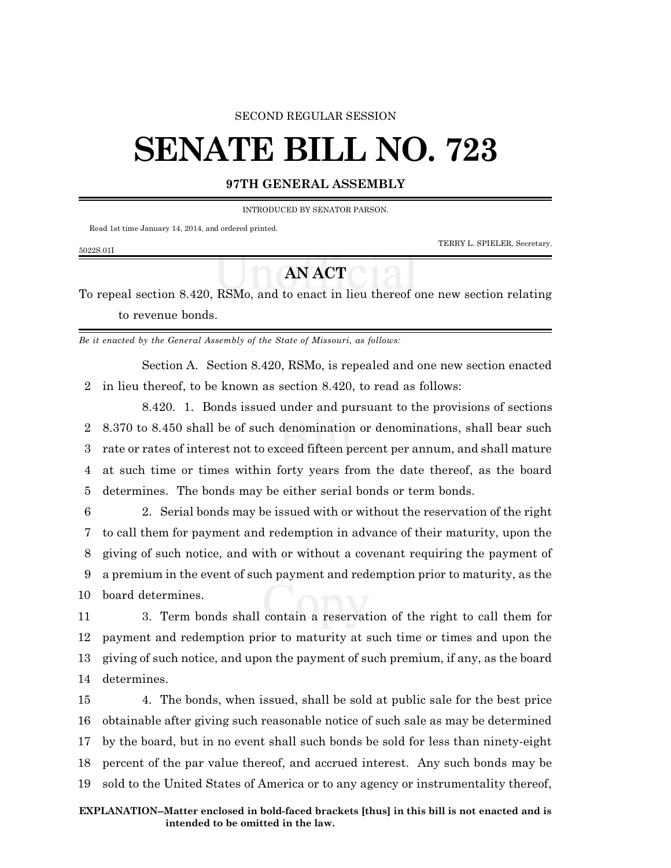#### SECOND REGULAR SESSION

# **SENATE BILL NO. 723**

#### **97TH GENERAL ASSEMBLY**

INTRODUCED BY SENATOR PARSON.

Read 1st time January 14, 2014, and ordered printed.

TERRY L. SPIELER, Secretary.

### 5022S.01I

## **AN ACT**

To repeal section 8.420, RSMo, and to enact in lieu thereof one new section relating to revenue bonds.

*Be it enacted by the General Assembly of the State of Missouri, as follows:*

Section A. Section 8.420, RSMo, is repealed and one new section enacted 2 in lieu thereof, to be known as section 8.420, to read as follows:

8.420. 1. Bonds issued under and pursuant to the provisions of sections 8.370 to 8.450 shall be of such denomination or denominations, shall bear such rate or rates of interest not to exceed fifteen percent per annum, and shall mature at such time or times within forty years from the date thereof, as the board determines. The bonds may be either serial bonds or term bonds.

 2. Serial bonds may be issued with or without the reservation of the right to call them for payment and redemption in advance of their maturity, upon the giving of such notice, and with or without a covenant requiring the payment of a premium in the event of such payment and redemption prior to maturity, as the board determines.

 3. Term bonds shall contain a reservation of the right to call them for payment and redemption prior to maturity at such time or times and upon the giving of such notice, and upon the payment of such premium, if any, as the board determines.

 4. The bonds, when issued, shall be sold at public sale for the best price obtainable after giving such reasonable notice of such sale as may be determined by the board, but in no event shall such bonds be sold for less than ninety-eight percent of the par value thereof, and accrued interest. Any such bonds may be sold to the United States of America or to any agency or instrumentality thereof,